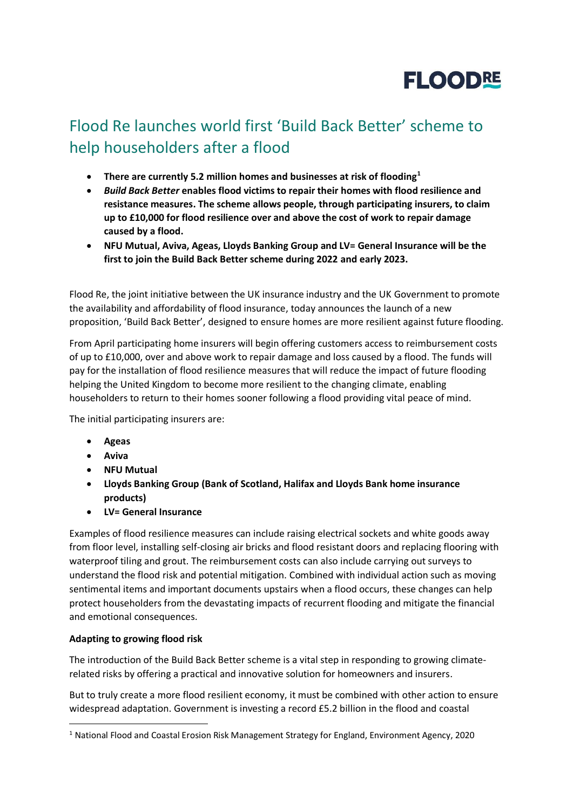

## Flood Re launches world first 'Build Back Better' scheme to help householders after a flood

- **There are currently 5.2 million homes and businesses at risk of flooding<sup>1</sup>**
- *Build Back Better* **enables flood victims to repair their homes with flood resilience and resistance measures. The scheme allows people, through participating insurers, to claim up to £10,000 for flood resilience over and above the cost of work to repair damage caused by a flood.**
- **NFU Mutual, Aviva, Ageas, Lloyds Banking Group and LV= General Insurance will be the first to join the Build Back Better scheme during 2022 and early 2023.**

Flood Re, the joint initiative between the UK insurance industry and the UK Government to promote the availability and affordability of flood insurance, today announces the launch of a new proposition, 'Build Back Better', designed to ensure homes are more resilient against future flooding.

From April participating home insurers will begin offering customers access to reimbursement costs of up to £10,000, over and above work to repair damage and loss caused by a flood. The funds will pay for the installation of flood resilience measures that will reduce the impact of future flooding helping the United Kingdom to become more resilient to the changing climate, enabling householders to return to their homes sooner following a flood providing vital peace of mind.

The initial participating insurers are:

- **Ageas**
- **Aviva**
- **NFU Mutual**
- **Lloyds Banking Group (Bank of Scotland, Halifax and Lloyds Bank home insurance products)**
- **LV= General Insurance**

Examples of flood resilience measures can include raising electrical sockets and white goods away from floor level, installing self-closing air bricks and flood resistant doors and replacing flooring with waterproof tiling and grout. The reimbursement costs can also include carrying out surveys to understand the flood risk and potential mitigation. Combined with individual action such as moving sentimental items and important documents upstairs when a flood occurs, these changes can help protect householders from the devastating impacts of recurrent flooding and mitigate the financial and emotional consequences.

## **Adapting to growing flood risk**

The introduction of the Build Back Better scheme is a vital step in responding to growing climaterelated risks by offering a practical and innovative solution for homeowners and insurers.

But to truly create a more flood resilient economy, it must be combined with other action to ensure widespread adaptation. Government is investing a record £5.2 billion in the flood and coastal

<sup>&</sup>lt;sup>1</sup> National Flood and Coastal Erosion Risk Management Strategy for England, Environment Agency, 2020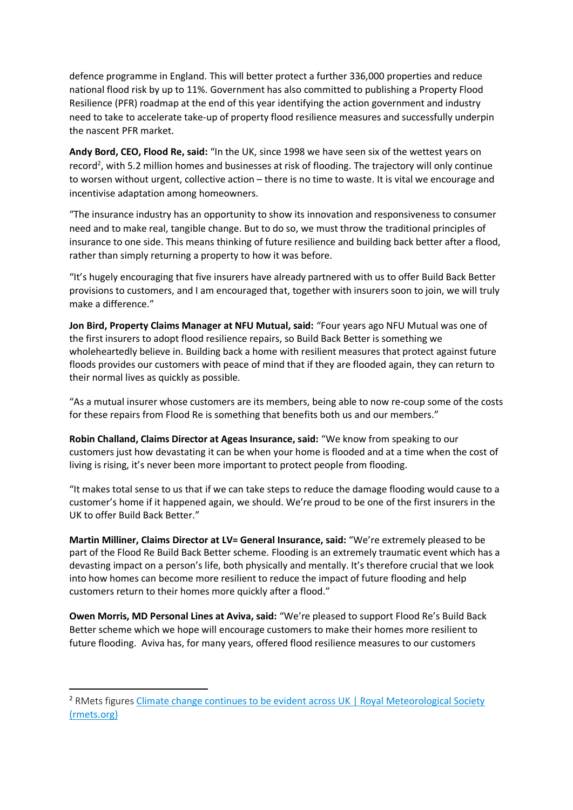defence programme in England. This will better protect a further 336,000 properties and reduce national flood risk by up to 11%. Government has also committed to publishing a Property Flood Resilience (PFR) roadmap at the end of this year identifying the action government and industry need to take to accelerate take-up of property flood resilience measures and successfully underpin the nascent PFR market.

**Andy Bord, CEO, Flood Re, said:** "In the UK, since 1998 we have seen six of the wettest years on record<sup>2</sup>, with 5.2 million homes and businesses at risk of flooding. The trajectory will only continue to worsen without urgent, collective action – there is no time to waste. It is vital we encourage and incentivise adaptation among homeowners.

"The insurance industry has an opportunity to show its innovation and responsiveness to consumer need and to make real, tangible change. But to do so, we must throw the traditional principles of insurance to one side. This means thinking of future resilience and building back better after a flood, rather than simply returning a property to how it was before.

"It's hugely encouraging that five insurers have already partnered with us to offer Build Back Better provisions to customers, and I am encouraged that, together with insurers soon to join, we will truly make a difference."

**Jon Bird, Property Claims Manager at NFU Mutual, said:** "Four years ago NFU Mutual was one of the first insurers to adopt flood resilience repairs, so Build Back Better is something we wholeheartedly believe in. Building back a home with resilient measures that protect against future floods provides our customers with peace of mind that if they are flooded again, they can return to their normal lives as quickly as possible.

"As a mutual insurer whose customers are its members, being able to now re-coup some of the costs for these repairs from Flood Re is something that benefits both us and our members."

**Robin Challand, Claims Director at Ageas Insurance, said:** "We know from speaking to our customers just how devastating it can be when your home is flooded and at a time when the cost of living is rising, it's never been more important to protect people from flooding.

"It makes total sense to us that if we can take steps to reduce the damage flooding would cause to a customer's home if it happened again, we should. We're proud to be one of the first insurers in the UK to offer Build Back Better."

**Martin Milliner, Claims Director at LV= General Insurance, said:** "We're extremely pleased to be part of the Flood Re Build Back Better scheme. Flooding is an extremely traumatic event which has a devasting impact on a person's life, both physically and mentally. It's therefore crucial that we look into how homes can become more resilient to reduce the impact of future flooding and help customers return to their homes more quickly after a flood."

**Owen Morris, MD Personal Lines at Aviva, said:** "We're pleased to support Flood Re's Build Back Better scheme which we hope will encourage customers to make their homes more resilient to future flooding. Aviva has, for many years, offered flood resilience measures to our customers

<sup>&</sup>lt;sup>2</sup> RMets figures Climate change continues to be evident across UK | Royal Meteorological Society [\(rmets.org\)](https://www.rmets.org/news/climate-change-continues-be-evident-across-uk)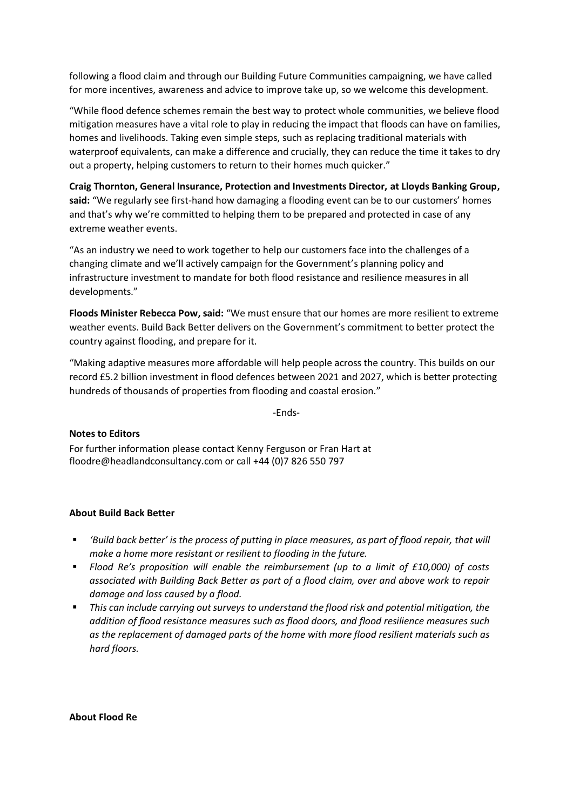following a flood claim and through our Building Future Communities campaigning, we have called for more incentives, awareness and advice to improve take up, so we welcome this development.

"While flood defence schemes remain the best way to protect whole communities, we believe flood mitigation measures have a vital role to play in reducing the impact that floods can have on families, homes and livelihoods. Taking even simple steps, such as replacing traditional materials with waterproof equivalents, can make a difference and crucially, they can reduce the time it takes to dry out a property, helping customers to return to their homes much quicker."

**Craig Thornton, General Insurance, Protection and Investments Director, at Lloyds Banking Group, said:** "We regularly see first-hand how damaging a flooding event can be to our customers' homes and that's why we're committed to helping them to be prepared and protected in case of any extreme weather events.

"As an industry we need to work together to help our customers face into the challenges of a changing climate and we'll actively campaign for the Government's planning policy and infrastructure investment to mandate for both flood resistance and resilience measures in all developments."

**Floods Minister Rebecca Pow, said:** "We must ensure that our homes are more resilient to extreme weather events. Build Back Better delivers on the Government's commitment to better protect the country against flooding, and prepare for it.

"Making adaptive measures more affordable will help people across the country. This builds on our record £5.2 billion investment in flood defences between 2021 and 2027, which is better protecting hundreds of thousands of properties from flooding and coastal erosion."

-Ends-

## **Notes to Editors**

For further information please contact Kenny Ferguson or Fran Hart at floodre@headlandconsultancy.com or call +44 (0)7 826 550 797

## **About Build Back Better**

- *'Build back better' is the process of putting in place measures, as part of flood repair, that will make a home more resistant or resilient to flooding in the future.*
- *Flood Re's proposition will enable the reimbursement (up to a limit of £10,000) of costs associated with Building Back Better as part of a flood claim, over and above work to repair damage and loss caused by a flood.*
- This can include carrying out surveys to understand the flood risk and potential mitigation, the *addition of flood resistance measures such as flood doors, and flood resilience measures such as the replacement of damaged parts of the home with more flood resilient materials such as hard floors.*

**About Flood Re**